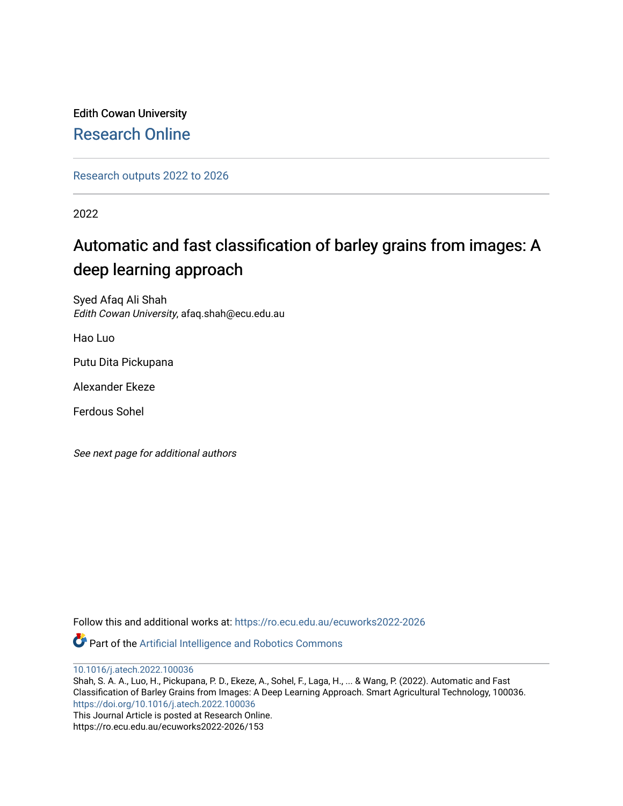Edith Cowan University [Research Online](https://ro.ecu.edu.au/) 

[Research outputs 2022 to 2026](https://ro.ecu.edu.au/ecuworks2022-2026) 

2022

# Automatic and fast classification of barley grains from images: A deep learning approach

Syed Afaq Ali Shah Edith Cowan University, afaq.shah@ecu.edu.au

Hao Luo

Putu Dita Pickupana

Alexander Ekeze

Ferdous Sohel

See next page for additional authors

Follow this and additional works at: [https://ro.ecu.edu.au/ecuworks2022-2026](https://ro.ecu.edu.au/ecuworks2022-2026?utm_source=ro.ecu.edu.au%2Fecuworks2022-2026%2F153&utm_medium=PDF&utm_campaign=PDFCoverPages)

Part of the [Artificial Intelligence and Robotics Commons](http://network.bepress.com/hgg/discipline/143?utm_source=ro.ecu.edu.au%2Fecuworks2022-2026%2F153&utm_medium=PDF&utm_campaign=PDFCoverPages) 

[10.1016/j.atech.2022.100036](http://dx.doi.org/10.1016/j.atech.2022.100036)

Shah, S. A. A., Luo, H., Pickupana, P. D., Ekeze, A., Sohel, F., Laga, H., ... & Wang, P. (2022). Automatic and Fast Classification of Barley Grains from Images: A Deep Learning Approach. Smart Agricultural Technology, 100036. <https://doi.org/10.1016/j.atech.2022.100036> This Journal Article is posted at Research Online.

https://ro.ecu.edu.au/ecuworks2022-2026/153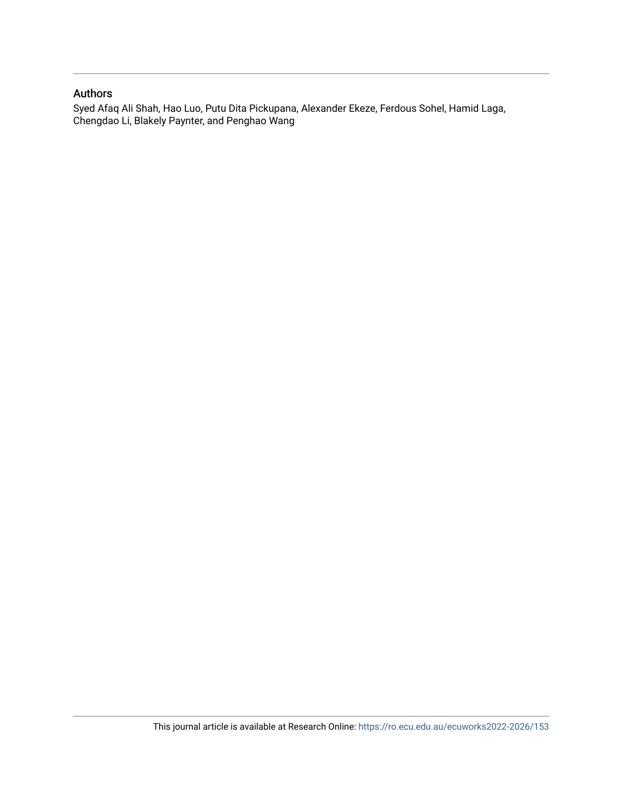### Authors

Syed Afaq Ali Shah, Hao Luo, Putu Dita Pickupana, Alexander Ekeze, Ferdous Sohel, Hamid Laga, Chengdao Li, Blakely Paynter, and Penghao Wang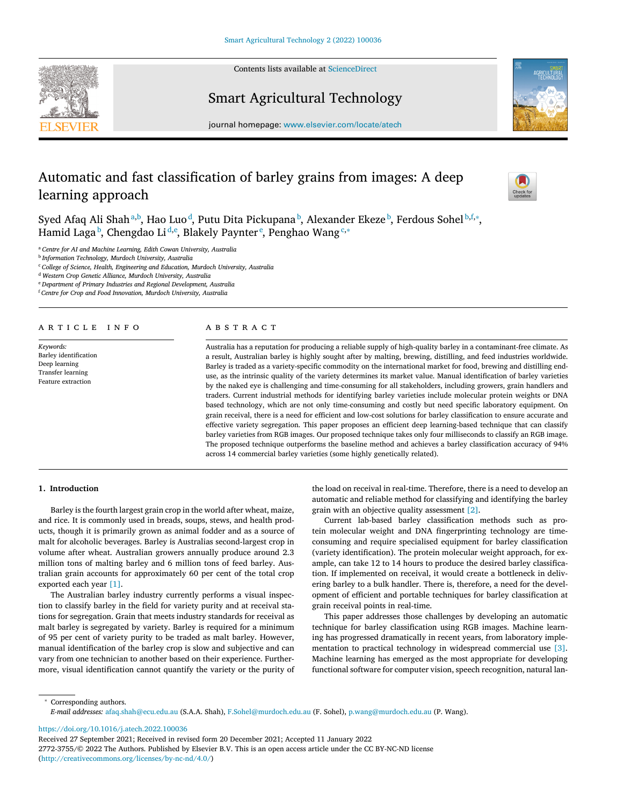Contents lists available at [ScienceDirect](http://www.ScienceDirect.com)





Smart Agricultural Technology

journal homepage: [www.elsevier.com/locate/atech](http://www.elsevier.com/locate/atech)

## Automatic and fast classification of barley grains from images: A deep learning approach



Syed Afaq Ali Shah $^{\rm a,b}$ , Hao Luo $^{\rm d}$ , Putu Dita Pickupana $^{\rm b}$ , Alexander Ekeze $^{\rm b}$ , Ferdous Sohel $^{\rm b,f,\ast}$ , Hamid Laga<sup>b</sup>, Chengdao Li<sup>d,e</sup>, Blakely Paynter<sup>e</sup>, Penghao Wang<sup>c,</sup>\*

<sup>a</sup> *Centre for AI and Machine Learning, Edith Cowan University, Australia*

<sup>b</sup> *Information Technology, Murdoch University, Australia*

<sup>c</sup> *College of Science, Health, Engineering and Education, Murdoch University, Australia*

<sup>d</sup> *Western Crop Genetic Alliance, Murdoch University, Australia*

<sup>e</sup> *Department of Primary Industries and Regional Development, Australia*

<sup>f</sup> *Centre for Crop and Food Innovation, Murdoch University, Australia*

ARTICLE INFO

*Keywords:* Barley identification Deep learning Transfer learning Feature extraction

#### A B S T R A C T

Australia has a reputation for producing a reliable supply of high-quality barley in a contaminant-free climate. As a result, Australian barley is highly sought after by malting, brewing, distilling, and feed industries worldwide. Barley is traded as a variety-specific commodity on the international market for food, brewing and distilling enduse, as the intrinsic quality of the variety determines its market value. Manual identification of barley varieties by the naked eye is challenging and time-consuming for all stakeholders, including growers, grain handlers and traders. Current industrial methods for identifying barley varieties include molecular protein weights or DNA based technology, which are not only time-consuming and costly but need specific laboratory equipment. On grain receival, there is a need for efficient and low-cost solutions for barley classification to ensure accurate and effective variety segregation. This paper proposes an efficient deep learning-based technique that can classify barley varieties from RGB images. Our proposed technique takes only four milliseconds to classify an RGB image. The proposed technique outperforms the baseline method and achieves a barley classification accuracy of 94% across 14 commercial barley varieties (some highly genetically related).

#### **1. Introduction**

Barley is the fourth largest grain crop in the world after wheat, maize, and rice. It is commonly used in breads, soups, stews, and health products, though it is primarily grown as animal fodder and as a source of malt for alcoholic beverages. Barley is Australias second-largest crop in volume after wheat. Australian growers annually produce around 2.3 million tons of malting barley and 6 million tons of feed barley. Australian grain accounts for approximately 60 per cent of the total crop exported each year [\[1\].](#page-6-0)

The Australian barley industry currently performs a visual inspection to classify barley in the field for variety purity and at receival stations for segregation. Grain that meets industry standards for receival as malt barley is segregated by variety. Barley is required for a minimum of 95 per cent of variety purity to be traded as malt barley. However, manual identification of the barley crop is slow and subjective and can vary from one technician to another based on their experience. Furthermore, visual identification cannot quantify the variety or the purity of the load on receival in real-time. Therefore, there is a need to develop an automatic and reliable method for classifying and identifying the barley grain with an objective quality assessment [\[2\].](#page-6-0)

Current lab-based barley classification methods such as protein molecular weight and DNA fingerprinting technology are timeconsuming and require specialised equipment for barley classification (variety identification). The protein molecular weight approach, for example, can take 12 to 14 hours to produce the desired barley classification. If implemented on receival, it would create a bottleneck in delivering barley to a bulk handler. There is, therefore, a need for the development of efficient and portable techniques for barley classification at grain receival points in real-time.

This paper addresses those challenges by developing an automatic technique for barley classification using RGB images. Machine learning has progressed dramatically in recent years, from laboratory implementation to practical technology in widespread commercial use [\[3\].](#page-6-0) Machine learning has emerged as the most appropriate for developing functional software for computer vision, speech recognition, natural lan-

<sup>∗</sup> Corresponding authors. *E-mail addresses:* [afaq.shah@ecu.edu.au](mailto:afaq.shah@ecu.edu.au) (S.A.A. Shah), [F.Sohel@murdoch.edu.au](mailto:F.Sohel@murdoch.edu.au) (F. Sohel), [p.wang@murdoch.edu.au](mailto:p.wang@murdoch.edu.au) (P. Wang).

<https://doi.org/10.1016/j.atech.2022.100036>

2772-3755/© 2022 The Authors. Published by Elsevier B.V. This is an open access article under the CC BY-NC-ND license [\(http://creativecommons.org/licenses/by-nc-nd/4.0/\)](http://creativecommons.org/licenses/by-nc-nd/4.0/)

Received 27 September 2021; Received in revised form 20 December 2021; Accepted 11 January 2022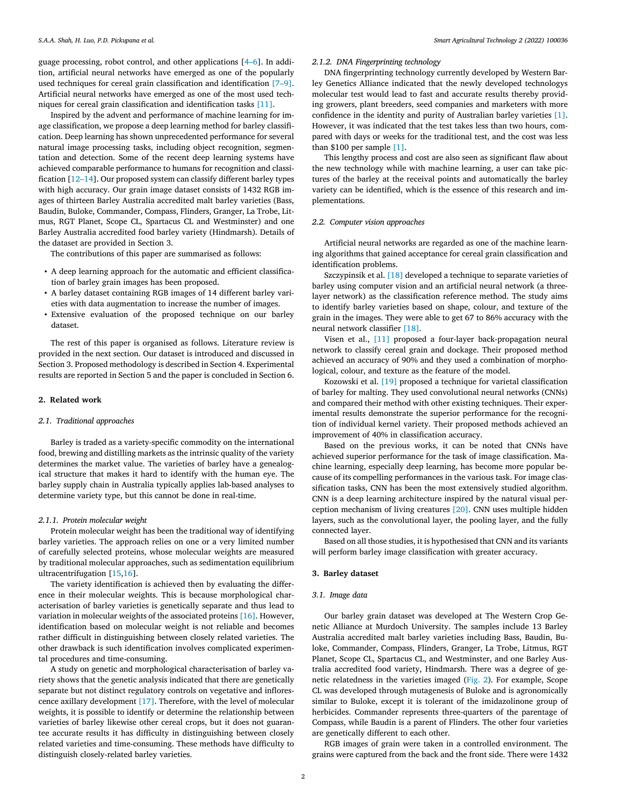guage processing, robot control, and other applications [\[4–6\]](#page-6-0). In addition, artificial neural networks have emerged as one of the popularly used techniques for cereal grain classification and identification [\[7–9\].](#page-6-0) Artificial neural networks have emerged as one of the most used techniques for cereal grain classification and identification tasks [\[11\].](#page-6-0)

Inspired by the advent and performance of machine learning for image classification, we propose a deep learning method for barley classification. Deep learning has shown unprecedented performance for several natural image processing tasks, including object recognition, segmentation and detection. Some of the recent deep learning systems have achieved comparable performance to humans for recognition and classification [\[12–14\]](#page-6-0). Our proposed system can classify different barley types with high accuracy. Our grain image dataset consists of 1432 RGB images of thirteen Barley Australia accredited malt barley varieties (Bass, Baudin, Buloke, Commander, Compass, Flinders, Granger, La Trobe, Litmus, RGT Planet, Scope CL, Spartacus CL and Westminster) and one Barley Australia accredited food barley variety (Hindmarsh). Details of the dataset are provided in Section 3.

The contributions of this paper are summarised as follows:

- A deep learning approach for the automatic and efficient classification of barley grain images has been proposed.
- A barley dataset containing RGB images of 14 different barley varieties with data augmentation to increase the number of images.
- Extensive evaluation of the proposed technique on our barley dataset.

The rest of this paper is organised as follows. Literature review is provided in the next section. Our dataset is introduced and discussed in Section 3. Proposed methodology is described in Section 4. Experimental results are reported in Section 5 and the paper is concluded in Section 6.

#### **2. Related work**

#### *2.1. Traditional approaches*

Barley is traded as a variety-specific commodity on the international food, brewing and distilling markets as the intrinsic quality of the variety determines the market value. The varieties of barley have a genealogical structure that makes it hard to identify with the human eye. The barley supply chain in Australia typically applies lab-based analyses to determine variety type, but this cannot be done in real-time.

#### *2.1.1. Protein molecular weight*

Protein molecular weight has been the traditional way of identifying barley varieties. The approach relies on one or a very limited number of carefully selected proteins, whose molecular weights are measured by traditional molecular approaches, such as sedimentation equilibrium ultracentrifugation [\[15,16\]](#page-6-0).

The variety identification is achieved then by evaluating the difference in their molecular weights. This is because morphological characterisation of barley varieties is genetically separate and thus lead to variation in molecular weights of the associated proteins [\[16\].](#page-6-0) However, identification based on molecular weight is not reliable and becomes rather difficult in distinguishing between closely related varieties. The other drawback is such identification involves complicated experimental procedures and time-consuming.

A study on genetic and morphological characterisation of barley variety shows that the genetic analysis indicated that there are genetically separate but not distinct regulatory controls on vegetative and inflorescence axillary development [\[17\].](#page-6-0) Therefore, with the level of molecular weights, it is possible to identify or determine the relationship between varieties of barley likewise other cereal crops, but it does not guarantee accurate results it has difficulty in distinguishing between closely related varieties and time-consuming. These methods have difficulty to distinguish closely-related barley varieties.

#### *2.1.2. DNA Fingerprinting technology*

DNA fingerprinting technology currently developed by Western Barley Genetics Alliance indicated that the newly developed technologys molecular test would lead to fast and accurate results thereby providing growers, plant breeders, seed companies and marketers with more confidence in the identity and purity of Australian barley varieties [\[1\].](#page-6-0) However, it was indicated that the test takes less than two hours, compared with days or weeks for the traditional test, and the cost was less than \$100 per sample [\[1\].](#page-6-0)

This lengthy process and cost are also seen as significant flaw about the new technology while with machine learning, a user can take pictures of the barley at the receival points and automatically the barley variety can be identified, which is the essence of this research and implementations.

#### *2.2. Computer vision approaches*

Artificial neural networks are regarded as one of the machine learning algorithms that gained acceptance for cereal grain classification and identification problems.

Szczypinsik et al. [\[18\]](#page-6-0) developed a technique to separate varieties of barley using computer vision and an artificial neural network (a threelayer network) as the classification reference method. The study aims to identify barley varieties based on shape, colour, and texture of the grain in the images. They were able to get 67 to 86% accuracy with the neural network classifier [\[18\].](#page-6-0)

Visen et al., [\[11\]](#page-6-0) proposed a four-layer back-propagation neural network to classify cereal grain and dockage. Their proposed method achieved an accuracy of 90% and they used a combination of morphological, colour, and texture as the feature of the model.

Kozowski et al. [\[19\]](#page-6-0) proposed a technique for varietal classification of barley for malting. They used convolutional neural networks (CNNs) and compared their method with other existing techniques. Their experimental results demonstrate the superior performance for the recognition of individual kernel variety. Their proposed methods achieved an improvement of 40% in classification accuracy.

Based on the previous works, it can be noted that CNNs have achieved superior performance for the task of image classification. Machine learning, especially deep learning, has become more popular because of its compelling performances in the various task. For image classification tasks, CNN has been the most extensively studied algorithm. CNN is a deep learning architecture inspired by the natural visual perception mechanism of living creatures [\[20\].](#page-6-0) CNN uses multiple hidden layers, such as the convolutional layer, the pooling layer, and the fully connected layer.

Based on all those studies, it is hypothesised that CNN and its variants will perform barley image classification with greater accuracy.

#### **3. Barley dataset**

#### *3.1. Image data*

Our barley grain dataset was developed at The Western Crop Genetic Alliance at Murdoch University. The samples include 13 Barley Australia accredited malt barley varieties including Bass, Baudin, Buloke, Commander, Compass, Flinders, Granger, La Trobe, Litmus, RGT Planet, Scope CL, Spartacus CL, and Westminster, and one Barley Australia accredited food variety, Hindmarsh. There was a degree of genetic relatedness in the varieties imaged [\(Fig.](#page-5-0) 2). For example, Scope CL was developed through mutagenesis of Buloke and is agronomically similar to Buloke, except it is tolerant of the imidazolinone group of herbicides. Commander represents three-quarters of the parentage of Compass, while Baudin is a parent of Flinders. The other four varieties are genetically different to each other.

RGB images of grain were taken in a controlled environment. The grains were captured from the back and the front side. There were 1432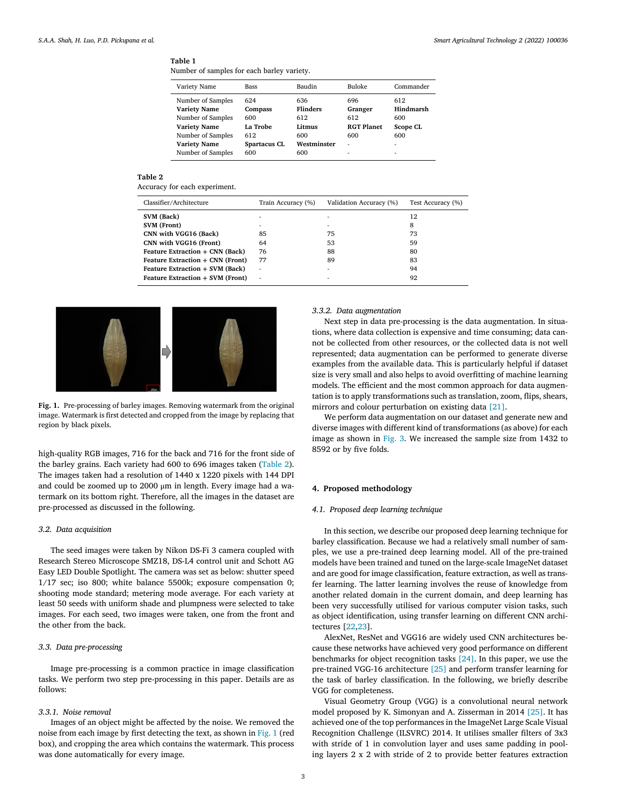#### <span id="page-4-0"></span>**Table 1**

Number of samples for each barley variety.

| Bass                | Baudin          | Buloke            | Commander       |
|---------------------|-----------------|-------------------|-----------------|
| 624                 | 636             | 696               | 612             |
| Compass             | <b>Flinders</b> | Granger           | Hindmarsh       |
| 600                 | 612             | 612               | 600             |
| La Trobe            | Litmus          | <b>RGT Planet</b> | <b>Scope CL</b> |
| 612                 | 600             | 600               | 600             |
| <b>Spartacus CL</b> | Westminster     | ۰                 | ۰               |
| 600                 | 600             | ۰                 | ۰               |
|                     |                 |                   |                 |

#### **Table 2**

Accuracy for each experiment.

| Classifier/Architecture          | Train Accuracy (%) | Validation Accuracy (%) | Test Accuracy (%) |  |  |
|----------------------------------|--------------------|-------------------------|-------------------|--|--|
| SVM (Back)                       | ۰                  |                         | 12                |  |  |
| SVM (Front)                      | ۰                  | ۰                       | 8                 |  |  |
| CNN with VGG16 (Back)            | 85                 | 75                      | 73                |  |  |
| CNN with VGG16 (Front)           | 64                 | 53                      | 59                |  |  |
| Feature Extraction + CNN (Back)  | 76                 | 88                      | 80                |  |  |
| Feature Extraction + CNN (Front) | 77                 | 89                      | 83                |  |  |
| Feature Extraction + SVM (Back)  | ۰                  | ۰                       | 94                |  |  |
| Feature Extraction + SVM (Front) | ٠                  |                         | 92                |  |  |



**Fig. 1.** Pre-processing of barley images. Removing watermark from the original image. Watermark is first detected and cropped from the image by replacing that region by black pixels.

high-quality RGB images, 716 for the back and 716 for the front side of the barley grains. Each variety had 600 to 696 images taken (Table 2). The images taken had a resolution of 1440 x 1220 pixels with 144 DPI and could be zoomed up to 2000 μm in length. Every image had a watermark on its bottom right. Therefore, all the images in the dataset are pre-processed as discussed in the following.

#### *3.2. Data acquisition*

The seed images were taken by Nikon DS-Fi 3 camera coupled with Research Stereo Microscope SMZ18, DS-L4 control unit and Schott AG Easy LED Double Spotlight. The camera was set as below: shutter speed 1/17 sec; iso 800; white balance 5500k; exposure compensation 0; shooting mode standard; metering mode average. For each variety at least 50 seeds with uniform shade and plumpness were selected to take images. For each seed, two images were taken, one from the front and the other from the back.

#### *3.3. Data pre-processing*

Image pre-processing is a common practice in image classification tasks. We perform two step pre-processing in this paper. Details are as follows:

#### *3.3.1. Noise removal*

Images of an object might be affected by the noise. We removed the noise from each image by first detecting the text, as shown in Fig. 1 (red box), and cropping the area which contains the watermark. This process was done automatically for every image.

#### *3.3.2. Data augmentation*

Next step in data pre-processing is the data augmentation. In situations, where data collection is expensive and time consuming; data cannot be collected from other resources, or the collected data is not well represented; data augmentation can be performed to generate diverse examples from the available data. This is particularly helpful if dataset size is very small and also helps to avoid overfitting of machine learning models. The efficient and the most common approach for data augmentation is to apply transformations such as translation, zoom, flips, shears, mirrors and colour perturbation on existing data [\[21\].](#page-6-0)

We perform data augmentation on our dataset and generate new and diverse images with different kind of transformations (as above) for each image as shown in [Fig.](#page-5-0) 3. We increased the sample size from 1432 to 8592 or by five folds.

#### **4. Proposed methodology**

#### *4.1. Proposed deep learning technique*

In this section, we describe our proposed deep learning technique for barley classification. Because we had a relatively small number of samples, we use a pre-trained deep learning model. All of the pre-trained models have been trained and tuned on the large-scale ImageNet dataset and are good for image classification, feature extraction, as well as transfer learning. The latter learning involves the reuse of knowledge from another related domain in the current domain, and deep learning has been very successfully utilised for various computer vision tasks, such as object identification, using transfer learning on different CNN architectures [\[22,23\]](#page-7-0).

AlexNet, ResNet and VGG16 are widely used CNN architectures because these networks have achieved very good performance on different benchmarks for object recognition tasks [\[24\].](#page-7-0) In this paper, we use the pre-trained VGG-16 architecture [\[25\]](#page-7-0) and perform transfer learning for the task of barley classification. In the following, we briefly describe VGG for completeness.

Visual Geometry Group (VGG) is a convolutional neural network model proposed by K. Simonyan and A. Zisserman in 2014 [\[25\].](#page-7-0) It has achieved one of the top performances in the ImageNet Large Scale Visual Recognition Challenge (ILSVRC) 2014. It utilises smaller filters of 3x3 with stride of 1 in convolution layer and uses same padding in pooling layers 2 x 2 with stride of 2 to provide better features extraction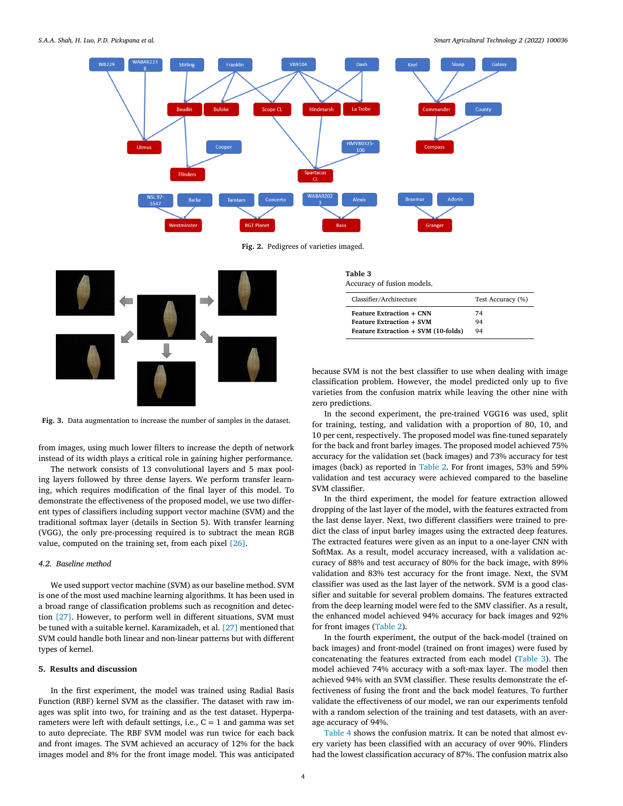<span id="page-5-0"></span>

**Fig. 2.** Pedigrees of varieties imaged.



**Fig. 3.** Data augmentation to increase the number of samples in the dataset.

from images, using much lower filters to increase the depth of network instead of its width plays a critical role in gaining higher performance.

The network consists of 13 convolutional layers and 5 max pooling layers followed by three dense layers. We perform transfer learning, which requires modification of the final layer of this model. To demonstrate the effectiveness of the proposed model, we use two different types of classifiers including support vector machine (SVM) and the traditional softmax layer (details in Section 5). With transfer learning (VGG), the only pre-processing required is to subtract the mean RGB value, computed on the training set, from each pixel [\[26\].](#page-7-0)

### *4.2. Baseline method*

We used support vector machine (SVM) as our baseline method. SVM is one of the most used machine learning algorithms. It has been used in a broad range of classification problems such as recognition and detection [\[27\].](#page-7-0) However, to perform well in different situations, SVM must be tuned with a suitable kernel. Karamizadeh, et al. [\[27\]](#page-7-0) mentioned that SVM could handle both linear and non-linear patterns but with different types of kernel.

#### **5. Results and discussion**

In the first experiment, the model was trained using Radial Basis Function (RBF) kernel SVM as the classifier. The dataset with raw images was split into two, for training and as the test dataset. Hyperparameters were left with default settings, i.e.,  $C = 1$  and gamma was set to auto depreciate. The RBF SVM model was run twice for each back and front images. The SVM achieved an accuracy of 12% for the back images model and 8% for the front image model. This was anticipated

| Table 3<br>Accuracy of fusion models. |                   |  |  |  |  |  |  |
|---------------------------------------|-------------------|--|--|--|--|--|--|
| Classifier/Architecture               | Test Accuracy (%) |  |  |  |  |  |  |
| <b>Feature Extraction + CNN</b>       | 74                |  |  |  |  |  |  |
| <b>Feature Extraction + SVM</b>       | 94                |  |  |  |  |  |  |

**Feature Extraction + SVM (10-folds)** 94

because SVM is not the best classifier to use when dealing with image classification problem. However, the model predicted only up to five varieties from the confusion matrix while leaving the other nine with zero predictions.

In the second experiment, the pre-trained VGG16 was used, split for training, testing, and validation with a proportion of 80, 10, and 10 per cent, respectively. The proposed model was fine-tuned separately for the back and front barley images. The proposed model achieved 75% accuracy for the validation set (back images) and 73% accuracy for test images (back) as reported in [Table](#page-4-0) 2. For front images, 53% and 59% validation and test accuracy were achieved compared to the baseline SVM classifier.

In the third experiment, the model for feature extraction allowed dropping of the last layer of the model, with the features extracted from the last dense layer. Next, two different classifiers were trained to predict the class of input barley images using the extracted deep features. The extracted features were given as an input to a one-layer CNN with SoftMax. As a result, model accuracy increased, with a validation accuracy of 88% and test accuracy of 80% for the back image, with 89% validation and 83% test accuracy for the front image. Next, the SVM classifier was used as the last layer of the network. SVM is a good classifier and suitable for several problem domains. The features extracted from the deep learning model were fed to the SMV classifier. As a result, the enhanced model achieved 94% accuracy for back images and 92% for front images [\(Table](#page-4-0) 2).

In the fourth experiment, the output of the back-model (trained on back images) and front-model (trained on front images) were fused by concatenating the features extracted from each model (Table 3). The model achieved 74% accuracy with a soft-max layer. The model then achieved 94% with an SVM classifier. These results demonstrate the effectiveness of fusing the front and the back model features. To further validate the effectiveness of our model, we ran our experiments tenfold with a random selection of the training and test datasets, with an average accuracy of 94%.

[Table](#page-6-0) 4 shows the confusion matrix. It can be noted that almost every variety has been classified with an accuracy of over 90%. Flinders had the lowest classification accuracy of 87%. The confusion matrix also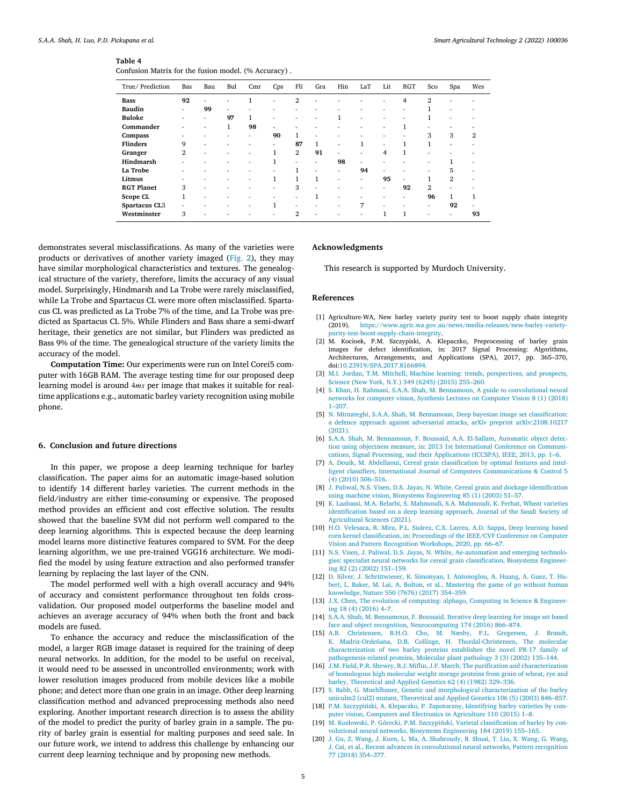#### <span id="page-6-0"></span>**Table 4**

| Confusion Matrix for the fusion model. (% Accuracy). |  |  |  |  |
|------------------------------------------------------|--|--|--|--|
|------------------------------------------------------|--|--|--|--|

| True/ Prediction  | Bas                      | Bau | Bul                      | Cmr | Cps                      | Fli            | Gra          | Hin                      | LaT                      | Lit                      | <b>RGT</b>   | Sco                      | Spa            | Wes |
|-------------------|--------------------------|-----|--------------------------|-----|--------------------------|----------------|--------------|--------------------------|--------------------------|--------------------------|--------------|--------------------------|----------------|-----|
| <b>Bass</b>       | 92                       | ٠   |                          | 1   | ٠                        | 2              | ۰            |                          |                          | ۰                        | 4            | $\overline{2}$           |                |     |
| <b>Baudin</b>     | ۰                        | 99  | ٠                        | ٠   | ۰                        | ۰              | ۰            | $\overline{\phantom{a}}$ | $\overline{\phantom{a}}$ | ۰                        | ۰            | 1                        | ۰              |     |
| <b>Buloke</b>     | ۰                        | ۰   | 97                       | 1   | ۰                        | ۰              | ۰            | 1                        | $\overline{\phantom{a}}$ | $\overline{\phantom{a}}$ | ۰            |                          | ٠              |     |
| Commander         | ٠                        | ٠   | $\mathbf{1}$             | 98  | ٠                        | ٠              | ٠            | ٠                        | $\overline{\phantom{a}}$ | ٠                        | 1            | $\overline{\phantom{a}}$ | ۰              |     |
| Compass           | ۰                        | ۰   | ٠                        | ÷.  | 90                       | $\mathbf{1}$   | ٠            | ٠                        |                          | $\overline{\phantom{a}}$ |              | 3                        | 3              | 2   |
| <b>Flinders</b>   | 9                        | ۰   | ٠                        | ٠   | ۰                        | 87             | $\mathbf{1}$ | ٠                        | 1                        | $\overline{\phantom{a}}$ | 1            | $\mathbf{1}$             | ٠              |     |
| Granger           | $\mathbf{2}$             | ٠   | $\overline{\phantom{a}}$ | ٠   | $\mathbf{1}$             | $\overline{2}$ | 91           | ٠                        | $\overline{\phantom{a}}$ | $\overline{4}$           | $\mathbf{1}$ | $\overline{\phantom{a}}$ | ۰              |     |
| Hindmarsh         | ٠                        | ٠   | ٠                        | ٠   | 1                        | ٠              | ٠            | 98                       | $\overline{\phantom{a}}$ | $\overline{\phantom{a}}$ | ۰            | ٠                        |                |     |
| La Trobe          | $\overline{\phantom{a}}$ | ٠   |                          | ۰   | ٠                        | $\mathbf{1}$   | ۰            | ٠                        | 94                       | ٠                        |              | $\overline{\phantom{a}}$ | 5              |     |
| Litmus            | ۰                        | ۰   | $\overline{\phantom{a}}$ | ٠   | 1                        | 1              | $\mathbf{1}$ | ٠                        | $\overline{\phantom{a}}$ | 95                       | ۰            | 1                        | $\overline{2}$ |     |
| <b>RGT Planet</b> | 3                        | ٠   | $\overline{\phantom{a}}$ | ٠   | ٠                        | 3              | ۰            | ۰                        | $\overline{\phantom{a}}$ | ٠                        | 92           | $\overline{2}$           | ۰              |     |
| Scope CL          | 1                        | ٠   | $\overline{\phantom{a}}$ | ۰   |                          | ۰              | $\mathbf{1}$ | ٠                        | $\overline{\phantom{a}}$ | $\overline{\phantom{a}}$ | ۰            | 96                       | $\mathbf{1}$   |     |
| Spartacus CL3     | ۰                        | ۰   |                          | ٠   | $\mathbf{1}$             | ٠              |              | ٠                        | 7                        | ٠                        |              | ٠                        | 92             | ۰   |
| Westminster       | 3                        | ٠   | $\overline{\phantom{a}}$ | ٠   | $\overline{\phantom{a}}$ | 2              | ٠            | ٠                        | $\overline{\phantom{a}}$ | 1                        | 1            | $\overline{\phantom{a}}$ | ٠              | 93  |

demonstrates several misclassifications. As many of the varieties were products or derivatives of another variety imaged [\(Fig.](#page-5-0) 2), they may have similar morphological characteristics and textures. The genealogical structure of the variety, therefore, limits the accuracy of any visual model. Surprisingly, Hindmarsh and La Trobe were rarely misclassified, while La Trobe and Spartacus CL were more often misclassified. Spartacus CL was predicted as La Trobe 7% of the time, and La Trobe was predicted as Spartacus CL 5%. While Flinders and Bass share a semi-dwarf heritage, their genetics are not similar, but Flinders was predicted as Bass 9% of the time. The genealogical structure of the variety limits the accuracy of the model.

**Computation Time:** Our experiments were run on Intel Corei5 computer with 16GB RAM. The average testing time for our proposed deep learning model is around 4ms per image that makes it suitable for realtime applications e.g., automatic barley variety recognition using mobile phone.

#### **6. Conclusion and future directions**

In this paper, we propose a deep learning technique for barley classification. The paper aims for an automatic image-based solution to identify 14 different barley varieties. The current methods in the field/industry are either time-consuming or expensive. The proposed method provides an efficient and cost effective solution. The results showed that the baseline SVM did not perform well compared to the deep learning algorithms. This is expected because the deep learning model learns more distinctive features compared to SVM. For the deep learning algorithm, we use pre-trained VGG16 architecture. We modified the model by using feature extraction and also performed transfer learning by replacing the last layer of the CNN.

The model performed well with a high overall accuracy and 94% of accuracy and consistent performance throughout ten folds crossvalidation. Our proposed model outperforms the baseline model and achieves an average accuracy of 94% when both the front and back models are fused.

To enhance the accuracy and reduce the misclassification of the model, a larger RGB image dataset is required for the training of deep neural networks. In addition, for the model to be useful on receival, it would need to be assessed in uncontrolled environments; work with lower resolution images produced from mobile devices like a mobile phone; and detect more than one grain in an image. Other deep learning classification method and advanced preprocessing methods also need exploring. Another important research direction is to assess the ability of the model to predict the purity of barley grain in a sample. The purity of barley grain is essential for malting purposes and seed sale. In our future work, we intend to address this challenge by enhancing our current deep learning technique and by proposing new methods.

#### **Acknowledgments**

This research is supported by Murdoch University.

#### **References**

- [1] Agriculture-WA, New barley variety purity test to boost supply chain integrity (2019). [https://www.agric.wa.gov.au/news/media-releases/new-barley-variety](https://www.agric.wa.gov.au/news/media-releases/new-barley-variety-purity-test-boost-supply-chain-integrity)purity-test-boost-supply-chain-integrity.
- [2] M. Kocioek, P.M. Szczypiski, A. Klepaczko, Preprocessing of barley grain images for defect identification, in: 2017 Signal Processing: Algorithms, Architectures, Arrangements, and Applications (SPA), 2017, pp. 365–370, doi[:10.23919/SPA.2017.8166894.](https://doi.org/10.23919/SPA.2017.8166894)
- [3] M.I. [Jordan,](http://refhub.elsevier.com/S2772-3755(22)00003-X/sbref0003) T.M. [Mitchell,](http://refhub.elsevier.com/S2772-3755(22)00003-X/sbref0003) Machine learning: trends, [perspectives,](http://refhub.elsevier.com/S2772-3755(22)00003-X/sbref0003) and prospects, Science (New York, N.Y.) 349 (6245) (2015) 255–260.
- [4] S. [Khan,](http://refhub.elsevier.com/S2772-3755(22)00003-X/sbref0004) H. [Rahmani,](http://refhub.elsevier.com/S2772-3755(22)00003-X/sbref0004) [S.A.A.](http://refhub.elsevier.com/S2772-3755(22)00003-X/sbref0004) Shah, M. [Bennamoun,](http://refhub.elsevier.com/S2772-3755(22)00003-X/sbref0004) A guide to [convolutional](http://refhub.elsevier.com/S2772-3755(22)00003-X/sbref0004) neural networks for computer vision, Synthesis Lectures on Computer Vision 8 (1) (2018) 1–207.
- [5] N. [Mirnateghi,](http://refhub.elsevier.com/S2772-3755(22)00003-X/sbref0005) [S.A.A.](http://refhub.elsevier.com/S2772-3755(22)00003-X/sbref0005) Shah, M. [Bennamoun,](http://refhub.elsevier.com/S2772-3755(22)00003-X/sbref0005) Deep bayesian image set classification: a defence approach against adversarial attacks, arXiv preprint [arXiv:2108.10217](http://refhub.elsevier.com/S2772-3755(22)00003-X/sbref0005) (2021).
- [6] [S.A.A.](http://refhub.elsevier.com/S2772-3755(22)00003-X/sbref0006) Shah, M. [Bennamoun,](http://refhub.elsevier.com/S2772-3755(22)00003-X/sbref0006) F. [Boussaid,](http://refhub.elsevier.com/S2772-3755(22)00003-X/sbref0006) A.A. [El-Sallam,](http://refhub.elsevier.com/S2772-3755(22)00003-X/sbref0006) Automatic object detection using objectness measure, in: 2013 1st [International](http://refhub.elsevier.com/S2772-3755(22)00003-X/sbref0006) Conference on Communications, Signal Processing, and their Applications (ICCSPA), IEEE, 2013, pp. 1–6.
- [7] A. [Douik,](http://refhub.elsevier.com/S2772-3755(22)00003-X/sbref0007) M. [Abdellaoui,](http://refhub.elsevier.com/S2772-3755(22)00003-X/sbref0007) Cereal grain classification by optimal features and intelligent classifiers, International Journal of Computers [Communications](http://refhub.elsevier.com/S2772-3755(22)00003-X/sbref0007) & Control 5 (4) (2010) 506–516.
- [8] J. [Paliwal,](http://refhub.elsevier.com/S2772-3755(22)00003-X/sbref0008) N.S. [Visen,](http://refhub.elsevier.com/S2772-3755(22)00003-X/sbref0008) D.S. [Jayas,](http://refhub.elsevier.com/S2772-3755(22)00003-X/sbref0008) N. [White,](http://refhub.elsevier.com/S2772-3755(22)00003-X/sbref0008) Cereal grain and dockage [identification](http://refhub.elsevier.com/S2772-3755(22)00003-X/sbref0008) using machine vision, Biosystems Engineering 85 (1) (2003) 51–57.
- [9] K. [Laabassi,](http://refhub.elsevier.com/S2772-3755(22)00003-X/sbref0009) M.A. [Belarbi,](http://refhub.elsevier.com/S2772-3755(22)00003-X/sbref0009) S. [Mahmoudi,](http://refhub.elsevier.com/S2772-3755(22)00003-X/sbref0009) S.A. [Mahmoudi,](http://refhub.elsevier.com/S2772-3755(22)00003-X/sbref0009) K. [Ferhat,](http://refhub.elsevier.com/S2772-3755(22)00003-X/sbref0009) Wheat varieties [identification](http://refhub.elsevier.com/S2772-3755(22)00003-X/sbref0009) based on a deep learning approach, Journal of the Saudi Society of Agricultural Sciences (2021).
- [10] H.O. [Velesaca,](http://refhub.elsevier.com/S2772-3755(22)00003-X/sbref0010) R. [Mira,](http://refhub.elsevier.com/S2772-3755(22)00003-X/sbref0010) P.L. [Suárez,](http://refhub.elsevier.com/S2772-3755(22)00003-X/sbref0010) C.X. [Larrea,](http://refhub.elsevier.com/S2772-3755(22)00003-X/sbref0010) A.D. [Sappa,](http://refhub.elsevier.com/S2772-3755(22)00003-X/sbref0010) Deep learning based corn kernel [classification,](http://refhub.elsevier.com/S2772-3755(22)00003-X/sbref0010) in: Proceedings of the IEEE/CVF Conference on Computer Vision and Pattern Recognition Workshops, 2020, pp. 66–67.
- [11] N.S. [Visen,](http://refhub.elsevier.com/S2772-3755(22)00003-X/sbref0011) J. [Paliwal,](http://refhub.elsevier.com/S2772-3755(22)00003-X/sbref0011) D.S. [Jayas,](http://refhub.elsevier.com/S2772-3755(22)00003-X/sbref0011) N. [White,](http://refhub.elsevier.com/S2772-3755(22)00003-X/sbref0011) [Ae-automation](http://refhub.elsevier.com/S2772-3755(22)00003-X/sbref0011) and emerging technologies: specialist neural networks for cereal grain classification, Biosystems Engineering 82 (2) (2002) 151–159.
- [12] D. [Silver,](http://refhub.elsevier.com/S2772-3755(22)00003-X/sbref0012) J. [Schrittwieser,](http://refhub.elsevier.com/S2772-3755(22)00003-X/sbref0012) K. [Simonyan,](http://refhub.elsevier.com/S2772-3755(22)00003-X/sbref0012) I. [Antonoglou,](http://refhub.elsevier.com/S2772-3755(22)00003-X/sbref0012) A. [Huang,](http://refhub.elsevier.com/S2772-3755(22)00003-X/sbref0012) A. [Guez,](http://refhub.elsevier.com/S2772-3755(22)00003-X/sbref0012) T. Hubert, L. [Baker,](http://refhub.elsevier.com/S2772-3755(22)00003-X/sbref0012) M. [Lai,](http://refhub.elsevier.com/S2772-3755(22)00003-X/sbref0012) A. [Bolton,](http://refhub.elsevier.com/S2772-3755(22)00003-X/sbref0012) et [al.,](http://refhub.elsevier.com/S2772-3755(22)00003-X/sbref0012) Mastering the game of go without human [knowledge,](http://refhub.elsevier.com/S2772-3755(22)00003-X/sbref0012) Nature 550 (7676) (2017) 354–359.
- [13] J.X. [Chen,](http://refhub.elsevier.com/S2772-3755(22)00003-X/sbref0013) The evolution of [computing:](http://refhub.elsevier.com/S2772-3755(22)00003-X/sbref0013) alphago, Computing in Science & Engineering 18 (4) (2016) 4–7.
- [14] [S.A.A.](http://refhub.elsevier.com/S2772-3755(22)00003-X/sbref0014) Shah, M. [Bennamoun,](http://refhub.elsevier.com/S2772-3755(22)00003-X/sbref0014) F. [Boussaid,](http://refhub.elsevier.com/S2772-3755(22)00003-X/sbref0014) Iterative deep learning for image set based face and object recognition, [Neurocomputing](http://refhub.elsevier.com/S2772-3755(22)00003-X/sbref0014) 174 (2016) 866–874.
- [15] A.B. [Christensen,](http://refhub.elsevier.com/S2772-3755(22)00003-X/sbref0015) [B.H.O.](http://refhub.elsevier.com/S2772-3755(22)00003-X/sbref0015) Cho, M. [Næsby,](http://refhub.elsevier.com/S2772-3755(22)00003-X/sbref0015) P.L. [Gregersen,](http://refhub.elsevier.com/S2772-3755(22)00003-X/sbref0015) J. [Brandt,](http://refhub.elsevier.com/S2772-3755(22)00003-X/sbref0015) K. [Madriz-Ordeñana,](http://refhub.elsevier.com/S2772-3755(22)00003-X/sbref0015) D.B. [Collinge,](http://refhub.elsevier.com/S2772-3755(22)00003-X/sbref0015) H. [Thordal-Christensen,](http://refhub.elsevier.com/S2772-3755(22)00003-X/sbref0015) The molecular characterization of two barley proteins establishes the novel PR-17 family of pathogenesis-related proteins, Molecular plant pathology 3 (3) (2002) 135–144.
- [16] J.M. [Field,](http://refhub.elsevier.com/S2772-3755(22)00003-X/sbref0016) P.R. [Shewry,](http://refhub.elsevier.com/S2772-3755(22)00003-X/sbref0016) B.J. [Miflin,](http://refhub.elsevier.com/S2772-3755(22)00003-X/sbref0016) J.F. [March,](http://refhub.elsevier.com/S2772-3755(22)00003-X/sbref0016) The purification and [characterization](http://refhub.elsevier.com/S2772-3755(22)00003-X/sbref0016) of homologous high molecular weight storage proteins from grain of wheat, rye and barley, Theoretical and Applied Genetics 62 (4) (1982) 329–336.
- [17] S. [Babb,](http://refhub.elsevier.com/S2772-3755(22)00003-X/sbref0017) G. [Muehlbauer,](http://refhub.elsevier.com/S2772-3755(22)00003-X/sbref0017) Genetic and morphological [characterization](http://refhub.elsevier.com/S2772-3755(22)00003-X/sbref0017) of the barley uniculm2 (cul2) mutant, Theoretical and Applied Genetics 106 (5) (2003) 846–857.
- [18] P.M. [Szczypiński,](http://refhub.elsevier.com/S2772-3755(22)00003-X/sbref0018) A. [Klepaczko,](http://refhub.elsevier.com/S2772-3755(22)00003-X/sbref0018) P. [Zapotoczny,](http://refhub.elsevier.com/S2772-3755(22)00003-X/sbref0018) Identifying barley varieties by computer vision, Computers and Electronics in Agriculture 110 (2015) 1–8.
- [19] M. [Kozłowski,](http://refhub.elsevier.com/S2772-3755(22)00003-X/sbref0019) P. [Górecki,](http://refhub.elsevier.com/S2772-3755(22)00003-X/sbref0019) P.M. [Szczypiński,](http://refhub.elsevier.com/S2772-3755(22)00003-X/sbref0019) Varietal [classification](http://refhub.elsevier.com/S2772-3755(22)00003-X/sbref0019) of barley by convolutional neural networks, Biosystems Engineering 184 (2019) 155–165.
- [20] J. [Gu,](http://refhub.elsevier.com/S2772-3755(22)00003-X/sbref0020) Z. [Wang,](http://refhub.elsevier.com/S2772-3755(22)00003-X/sbref0020) J. [Kuen,](http://refhub.elsevier.com/S2772-3755(22)00003-X/sbref0020) L. [Ma,](http://refhub.elsevier.com/S2772-3755(22)00003-X/sbref0020) A. [Shahroudy,](http://refhub.elsevier.com/S2772-3755(22)00003-X/sbref0020) B. [Shuai,](http://refhub.elsevier.com/S2772-3755(22)00003-X/sbref0020) T. [Liu,](http://refhub.elsevier.com/S2772-3755(22)00003-X/sbref0020) X. [Wang,](http://refhub.elsevier.com/S2772-3755(22)00003-X/sbref0020) G. [Wang,](http://refhub.elsevier.com/S2772-3755(22)00003-X/sbref0020) J. [Cai,](http://refhub.elsevier.com/S2772-3755(22)00003-X/sbref0020) et [al.,](http://refhub.elsevier.com/S2772-3755(22)00003-X/sbref0020) Recent advances in [convolutional](http://refhub.elsevier.com/S2772-3755(22)00003-X/sbref0020) neural networks, Pattern recognition 77 (2018) 354–377.